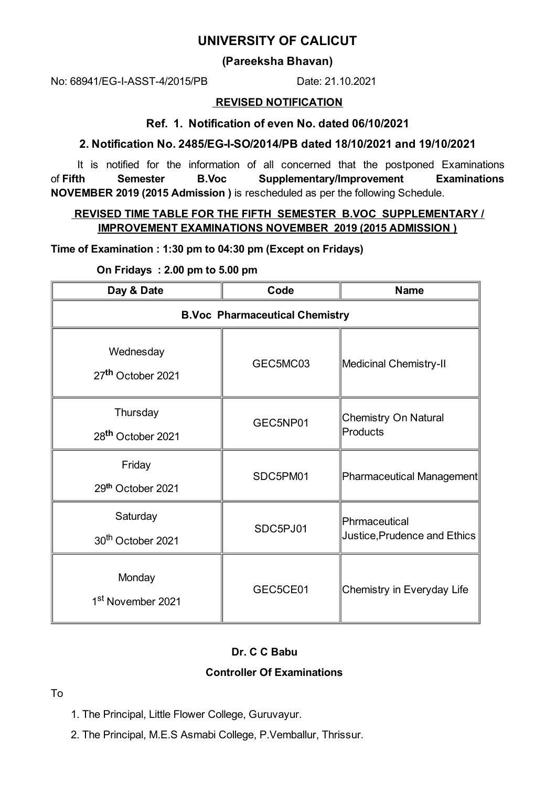# **UNIVERSITY OF CALICUT**

## **(Pareeksha Bhavan)**

No: 68941/EG-I-ASST-4/2015/PB Date: 21.10.2021

#### **REVISED NOTIFICATION**

#### **Ref. 1. Notification of even No. dated 06/10/2021**

### **2. Notification No. 2485/EG-I-SO/2014/PB dated 18/10/2021 and 19/10/2021**

It is notified for the information of all concerned that the postponed Examinations of **Fifth Semester B.Voc Supplementary/Improvement Examinations NOVEMBER 2019 (2015 Admission )** is rescheduled as per the following Schedule.

### **REVISED TIME TABLE FOR THE FIFTH SEMESTER B.VOC SUPPLEMENTARY / IMPROVEMENT EXAMINATIONS NOVEMBER 2019 (2015 ADMISSION )**

**Time of Examination : 1:30 pm to 04:30 pm (Except on Fridays)**

**On Fridays : 2.00 pm to 5.00 pm**

| Day & Date                                 | Code     | <b>Name</b>                                   |
|--------------------------------------------|----------|-----------------------------------------------|
| <b>B.Voc Pharmaceutical Chemistry</b>      |          |                                               |
| Wednesday<br>27 <sup>th</sup> October 2021 | GEC5MC03 | Medicinal Chemistry-II                        |
| Thursday<br>28 <sup>th</sup> October 2021  | GEC5NP01 | <b>Chemistry On Natural</b><br>Products       |
| Friday<br>29th October 2021                | SDC5PM01 | Pharmaceutical Management                     |
| Saturday<br>30 <sup>th</sup> October 2021  | SDC5PJ01 | Phrmaceutical<br>Justice, Prudence and Ethics |
| Monday<br>1 <sup>st</sup> November 2021    | GEC5CE01 | Chemistry in Everyday Life                    |

## **Dr. C C Babu**

#### **Controller Of Examinations**

#### To

- 1. The Principal, Little Flower College, Guruvayur.
- 2. The Principal, M.E.S Asmabi College, P.Vemballur, Thrissur.